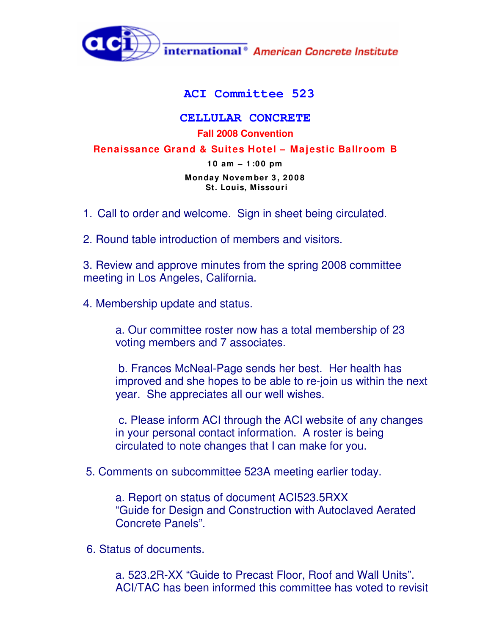

## **ACI Committee 523**

## **CELLULAR CONCRETE Fall 2008 Convention**

## **Renaissance Grand & Suites Hotel – Majestic Ballroom B**

**1 0 am – 1 :0 0 pm**

**Monday Novem ber 3 , 2 0 0 8 St. Louis, Missouri**

1. Call to order and welcome. Sign in sheet being circulated.

2. Round table introduction of members and visitors.

3. Review and approve minutes from the spring 2008 committee meeting in Los Angeles, California.

4. Membership update and status.

a. Our committee roster now has a total membership of 23 voting members and 7 associates.

b. Frances McNeal-Page sends her best. Her health has improved and she hopes to be able to re-join us within the next year. She appreciates all our well wishes.

c. Please inform ACI through the ACI website of any changes in your personal contact information. A roster is being circulated to note changes that I can make for you.

5. Comments on subcommittee 523A meeting earlier today.

a. Report on status of document ACI523.5RXX "Guide for Design and Construction with Autoclaved Aerated Concrete Panels".

6. Status of documents.

a. 523.2R-XX "Guide to Precast Floor, Roof and Wall Units". ACI/TAC has been informed this committee has voted to revisit